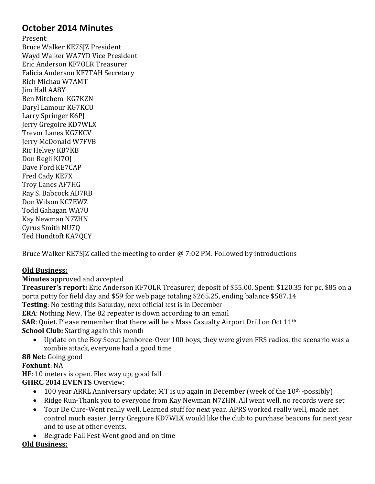# **October 2014 Minutes**

Present: Bruce Walker KE7SJZ President Wayd Walker WA7YD Vice President Eric Anderson KF7OLR Treasurer Falicia Anderson KF7TAH Secretary Rich Michau W7AMT Jim Hall AA8Y Ben Mitchem KG7KZN Daryl Lamour KG7KCU Larry Springer K6PJ Jerry Gregoire KD7WLX Trevor Lanes KG7KCV Jerry McDonald W7FVB Ric Helvey KB7KB Don Regli KI7OJ Dave Ford KE7CAP Fred Cady KE7X Troy Lanes AF7HG Ray S. Babcock AD7RB Don Wilson KC7EWZ Todd Gahagan WA7U Kay Newman N7ZHN Cyrus Smith NU7Q Ted Hundtoft KA7QCY

Bruce Walker KE7SJZ called the meeting to order @ 7:02 PM. Followed by introductions

### **Old Business:**

**Minutes** approved and accepted

**Treasurer's report:** Eric Anderson KF7OLR Treasurer; deposit of \$55.00. Spent: \$120.35 for pc, \$85 on a porta potty for field day and \$59 for web page totaling \$265.25, ending balance \$587.14 **Testing**: No testing this Saturday, next official test is in December **ERA**: Nothing New. The 82 repeater is down according to an email **SAR**: Quiet. Please remember that there will be a Mass Casualty Airport Drill on Oct 11th **School Club:** Starting again this month

 Update on the Boy Scout Jamboree-Over 100 boys, they were given FRS radios, the scenario was a zombie attack, everyone had a good time

**88 Net:** Going good

#### **Foxhunt**: NA

**HF**: 10 meters is open. Flex way up, good fall **GHRC 2014 EVENTS** Overview:

- $\bullet$  100 year ARRL Anniversary update; MT is up again in December (week of the 10<sup>th</sup> -possibly)
- Ridge Run-Thank you to everyone from Kay Newman N7ZHN. All went well, no records were set
- Tour De Cure-Went really well. Learned stuff for next year. APRS worked really well, made net control much easier. Jerry Gregoire KD7WLX would like the club to purchase beacons for next year and to use at other events.
- Belgrade Fall Fest-Went good and on time

#### **Old Business:**